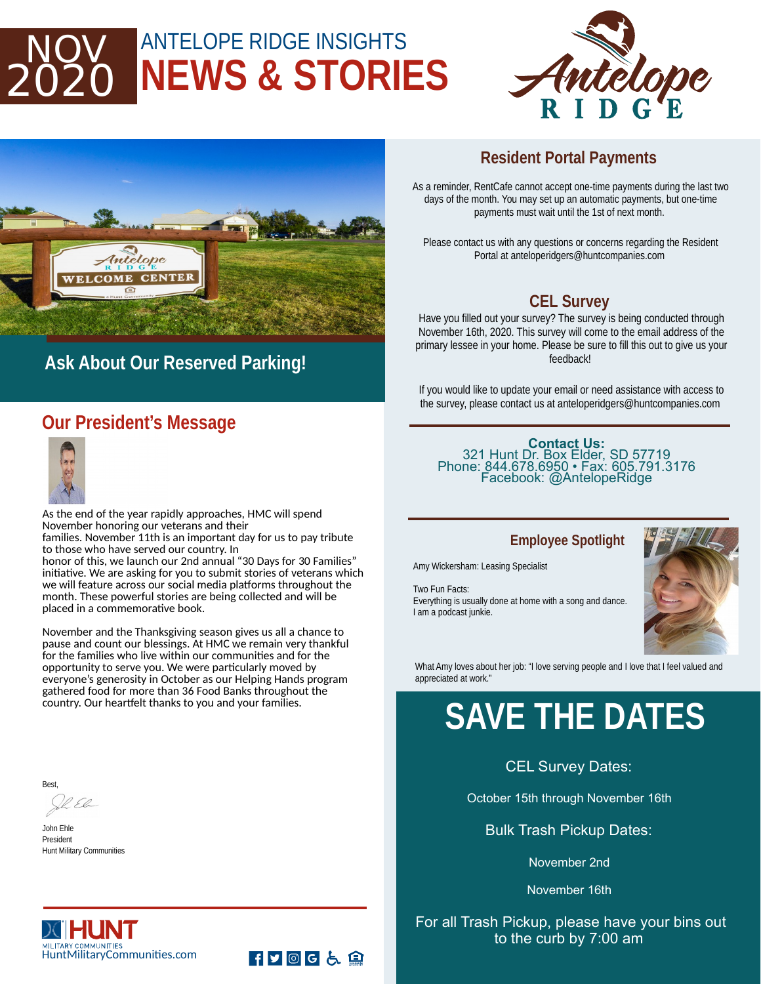## ANTELOPE RIDGE INSIGHTS **NEWS & STORIES** 2020





### **Ask About Our Reserved Parking!**

#### **Our President's Message**



As the end of the year rapidly approaches, HMC will spend November honoring our veterans and their families. November 11th is an important day for us to pay tribute

to those who have served our country. In honor of this, we launch our 2nd annual "30 Days for 30 Families" initiative. We are asking for you to submit stories of veterans which we will feature across our social media platforms throughout the month. These powerful stories are being collected and will be placed in a commemorative book.

November and the Thanksgiving season gives us all a chance to pause and count our blessings. At HMC we remain very thankful for the families who live within our communities and for the opportunity to serve you. We were particularly moved by everyone's generosity in October as our Helping Hands program gathered food for more than 36 Food Banks throughout the country. Our heartfelt thanks to you and your families.

Best,

John Ehle President Hunt Military Communities

#### **Resident Portal Payments**

As a reminder, RentCafe cannot accept one-time payments during the last two days of the month. You may set up an automatic payments, but one-time payments must wait until the 1st of next month.

Please contact us with any questions or concerns regarding the Resident Portal at anteloperidgers@huntcompanies.com

#### **CEL Survey**

Have you filled out your survey? The survey is being conducted through November 16th, 2020. This survey will come to the email address of the primary lessee in your home. Please be sure to fill this out to give us your feedback!

If you would like to update your email or need assistance with access to the survey, please contact us at anteloperidgers@huntcompanies.com

**Contact Us:**  321 Hunt Dr. Box Elder, SD 57719 Phone: 844.678.6950 • Fax: 605.791.3176 Facebook: @AntelopeRidge

#### **Employee Spotlight**

Amy Wickersham: Leasing Specialist

Two Fun Facts:

Everything is usually done at home with a song and dance. I am a podcast junkie.



What Amy loves about her job: "I love serving people and I love that I feel valued and appreciated at work."

## **SAVE THE DATES**

CEL Survey Dates:

October 15th through November 16th

Bulk Trash Pickup Dates:

November 2nd

November 16th

#### For all Trash Pickup, please have your bins out to the curb by 7:00 am